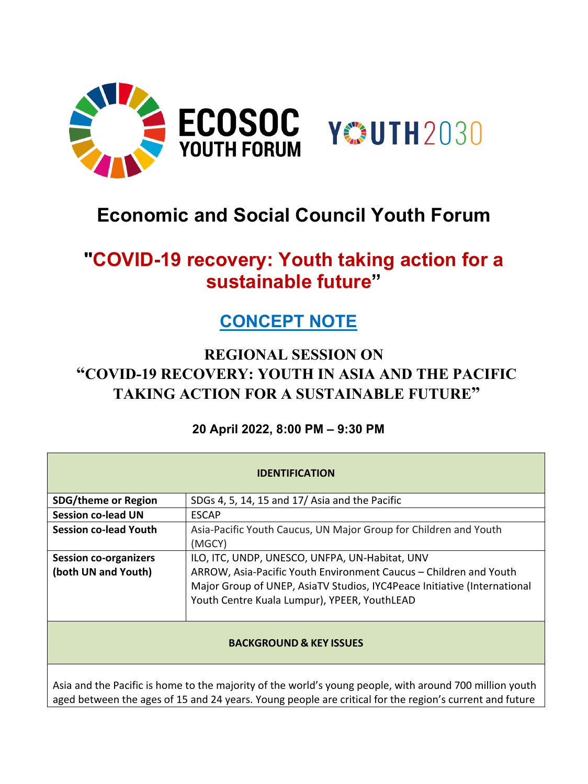

# **Economic and Social Council Youth Forum**

## **"COVID-19 recovery: Youth taking action for a sustainable future"**

## **CONCEPT NOTE**

### **REGIONAL SESSION ON "COVID-19 RECOVERY: YOUTH IN ASIA AND THE PACIFIC TAKING ACTION FOR A SUSTAINABLE FUTURE"**

### **20 April 2022, 8:00 PM – 9:30 PM**

| <b>IDENTIFICATION</b>                                                                                                                                                                                              |                                                                                                                                                                                               |
|--------------------------------------------------------------------------------------------------------------------------------------------------------------------------------------------------------------------|-----------------------------------------------------------------------------------------------------------------------------------------------------------------------------------------------|
| <b>SDG/theme or Region</b>                                                                                                                                                                                         | SDGs 4, 5, 14, 15 and 17/ Asia and the Pacific                                                                                                                                                |
| <b>Session co-lead UN</b>                                                                                                                                                                                          | <b>ESCAP</b>                                                                                                                                                                                  |
| <b>Session co-lead Youth</b>                                                                                                                                                                                       | Asia-Pacific Youth Caucus, UN Major Group for Children and Youth<br>(MGCY)                                                                                                                    |
| <b>Session co-organizers</b>                                                                                                                                                                                       | ILO, ITC, UNDP, UNESCO, UNFPA, UN-Habitat, UNV                                                                                                                                                |
| (both UN and Youth)                                                                                                                                                                                                | ARROW, Asia-Pacific Youth Environment Caucus – Children and Youth<br>Major Group of UNEP, AsiaTV Studios, IYC4Peace Initiative (International<br>Youth Centre Kuala Lumpur), YPEER, YouthLEAD |
| <b>BACKGROUND &amp; KEY ISSUES</b>                                                                                                                                                                                 |                                                                                                                                                                                               |
| Asia and the Pacific is home to the majority of the world's young people, with around 700 million youth<br>aged between the ages of 15 and 24 years. Young people are critical for the region's current and future |                                                                                                                                                                                               |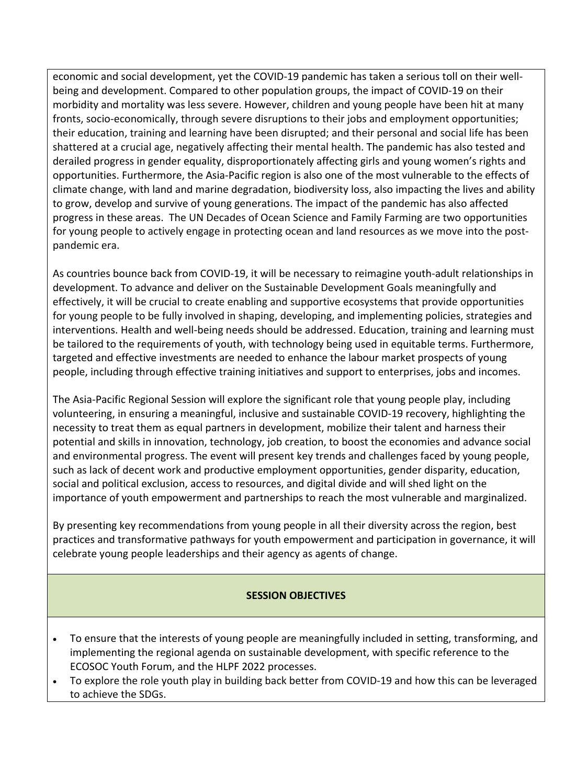economic and social development, yet the COVID-19 pandemic has taken a serious toll on their wellbeing and development. Compared to other population groups, the impact of COVID-19 on their morbidity and mortality was less severe. However, children and young people have been hit at many fronts, socio-economically, through severe disruptions to their jobs and employment opportunities; their education, training and learning have been disrupted; and their personal and social life has been shattered at a crucial age, negatively affecting their mental health. The pandemic has also tested and derailed progress in gender equality, disproportionately affecting girls and young women's rights and opportunities. Furthermore, the Asia-Pacific region is also one of the most vulnerable to the effects of climate change, with land and marine degradation, biodiversity loss, also impacting the lives and ability to grow, develop and survive of young generations. The impact of the pandemic has also affected progress in these areas. The UN Decades of Ocean Science and Family Farming are two opportunities for young people to actively engage in protecting ocean and land resources as we move into the postpandemic era.

As countries bounce back from COVID-19, it will be necessary to reimagine youth-adult relationships in development. To advance and deliver on the Sustainable Development Goals meaningfully and effectively, it will be crucial to create enabling and supportive ecosystems that provide opportunities for young people to be fully involved in shaping, developing, and implementing policies, strategies and interventions. Health and well-being needs should be addressed. Education, training and learning must be tailored to the requirements of youth, with technology being used in equitable terms. Furthermore, targeted and effective investments are needed to enhance the labour market prospects of young people, including through effective training initiatives and support to enterprises, jobs and incomes.

The Asia-Pacific Regional Session will explore the significant role that young people play, including volunteering, in ensuring a meaningful, inclusive and sustainable COVID-19 recovery, highlighting the necessity to treat them as equal partners in development, mobilize their talent and harness their potential and skills in innovation, technology, job creation, to boost the economies and advance social and environmental progress. The event will present key trends and challenges faced by young people, such as lack of decent work and productive employment opportunities, gender disparity, education, social and political exclusion, access to resources, and digital divide and will shed light on the importance of youth empowerment and partnerships to reach the most vulnerable and marginalized.

By presenting key recommendations from young people in all their diversity across the region, best practices and transformative pathways for youth empowerment and participation in governance, it will celebrate young people leaderships and their agency as agents of change.

#### **SESSION OBJECTIVES**

- To ensure that the interests of young people are meaningfully included in setting, transforming, and implementing the regional agenda on sustainable development, with specific reference to the ECOSOC Youth Forum, and the HLPF 2022 processes.
- To explore the role youth play in building back better from COVID-19 and how this can be leveraged to achieve the SDGs.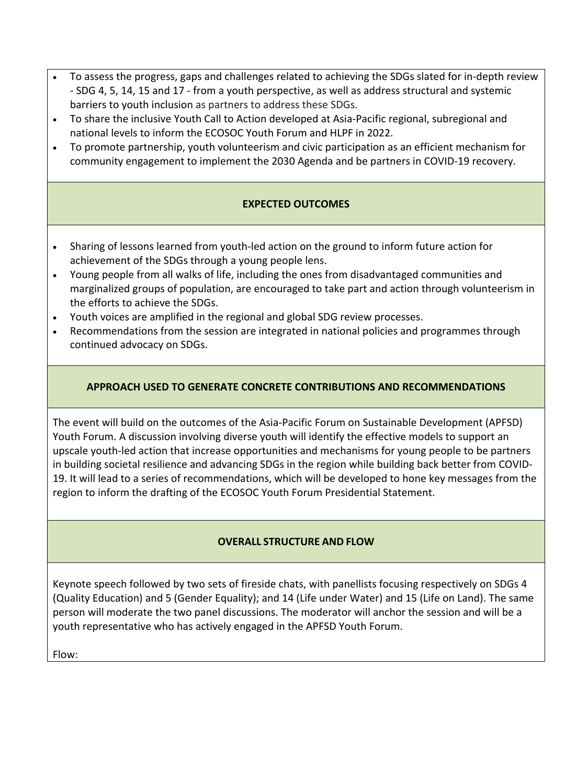- To assess the progress, gaps and challenges related to achieving the SDGs slated for in-depth review - SDG 4, 5, 14, 15 and 17 - from a youth perspective, as well as address structural and systemic barriers to youth inclusion as partners to address these SDGs.
- To share the inclusive Youth Call to Action developed at Asia-Pacific regional, subregional and national levels to inform the ECOSOC Youth Forum and HLPF in 2022.
- To promote partnership, youth volunteerism and civic participation as an efficient mechanism for community engagement to implement the 2030 Agenda and be partners in COVID-19 recovery.

#### **EXPECTED OUTCOMES**

- Sharing of lessons learned from youth-led action on the ground to inform future action for achievement of the SDGs through a young people lens.
- Young people from all walks of life, including the ones from disadvantaged communities and marginalized groups of population, are encouraged to take part and action through volunteerism in the efforts to achieve the SDGs.
- Youth voices are amplified in the regional and global SDG review processes.
- Recommendations from the session are integrated in national policies and programmes through continued advocacy on SDGs.

#### **APPROACH USED TO GENERATE CONCRETE CONTRIBUTIONS AND RECOMMENDATIONS**

The event will build on the outcomes of the Asia-Pacific Forum on Sustainable Development (APFSD) Youth Forum. A discussion involving diverse youth will identify the effective models to support an upscale youth-led action that increase opportunities and mechanisms for young people to be partners in building societal resilience and advancing SDGs in the region while building back better from COVID-19. It will lead to a series of recommendations, which will be developed to hone key messages from the region to inform the drafting of the ECOSOC Youth Forum Presidential Statement.

#### **OVERALL STRUCTURE AND FLOW**

Keynote speech followed by two sets of fireside chats, with panellists focusing respectively on SDGs 4 (Quality Education) and 5 (Gender Equality); and 14 (Life under Water) and 15 (Life on Land). The same person will moderate the two panel discussions. The moderator will anchor the session and will be a youth representative who has actively engaged in the APFSD Youth Forum.

Flow: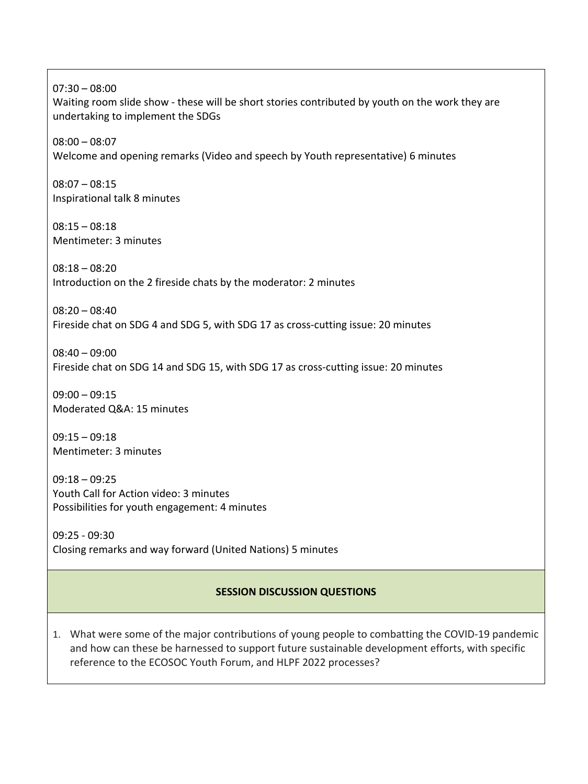07:30 – 08:00 Waiting room slide show - these will be short stories contributed by youth on the work they are undertaking to implement the SDGs 08:00 – 08:07 Welcome and opening remarks (Video and speech by Youth representative) 6 minutes 08:07 – 08:15 Inspirational talk 8 minutes  $08:15 - 08:18$ Mentimeter: 3 minutes 08:18 – 08:20 Introduction on the 2 fireside chats by the moderator: 2 minutes 08:20 – 08:40 Fireside chat on SDG 4 and SDG 5, with SDG 17 as cross-cutting issue: 20 minutes 08:40 – 09:00 Fireside chat on SDG 14 and SDG 15, with SDG 17 as cross-cutting issue: 20 minutes  $09:00 - 09:15$ Moderated Q&A: 15 minutes  $09:15 - 09:18$ 

Mentimeter: 3 minutes

09:18 – 09:25 Youth Call for Action video: 3 minutes Possibilities for youth engagement: 4 minutes

09:25 - 09:30 Closing remarks and way forward (United Nations) 5 minutes

#### **SESSION DISCUSSION QUESTIONS**

1. What were some of the major contributions of young people to combatting the COVID-19 pandemic and how can these be harnessed to support future sustainable development efforts, with specific reference to the ECOSOC Youth Forum, and HLPF 2022 processes?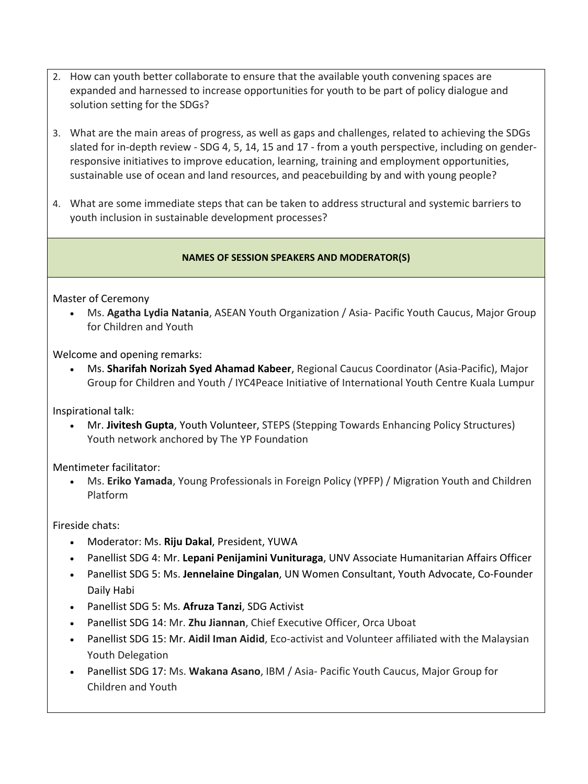- 2. How can youth better collaborate to ensure that the available youth convening spaces are expanded and harnessed to increase opportunities for youth to be part of policy dialogue and solution setting for the SDGs?
- 3. What are the main areas of progress, as well as gaps and challenges, related to achieving the SDGs slated for in-depth review - SDG 4, 5, 14, 15 and 17 - from a youth perspective, including on genderresponsive initiatives to improve education, learning, training and employment opportunities, sustainable use of ocean and land resources, and peacebuilding by and with young people?
- 4. What are some immediate steps that can be taken to address structural and systemic barriers to youth inclusion in sustainable development processes?

#### **NAMES OF SESSION SPEAKERS AND MODERATOR(S)**

Master of Ceremony

• Ms. **Agatha Lydia Natania**, ASEAN Youth Organization / Asia- Pacific Youth Caucus, Major Group for Children and Youth

Welcome and opening remarks:

• Ms. **Sharifah Norizah Syed Ahamad Kabeer**, Regional Caucus Coordinator (Asia-Pacific), Major Group for Children and Youth / IYC4Peace Initiative of International Youth Centre Kuala Lumpur

Inspirational talk:

• Mr. **Jivitesh Gupta**, Youth Volunteer, STEPS (Stepping Towards Enhancing Policy Structures) Youth network anchored by The YP Foundation

Mentimeter facilitator:

• Ms. **Eriko Yamada**, Young Professionals in Foreign Policy (YPFP) / Migration Youth and Children Platform

Fireside chats:

- Moderator: Ms. **Riju Dakal**, President, YUWA
- Panellist SDG 4: Mr. **Lepani Penijamini Vunituraga**, UNV Associate Humanitarian Affairs Officer
- Panellist SDG 5: Ms. **Jennelaine Dingalan**, UN Women Consultant, Youth Advocate, Co-Founder Daily Habi
- Panellist SDG 5: Ms. **Afruza Tanzi**, SDG Activist
- Panellist SDG 14: Mr. **Zhu Jiannan**, Chief Executive Officer, Orca Uboat
- Panellist SDG 15: Mr. **Aidil Iman Aidid**, Eco-activist and Volunteer affiliated with the Malaysian Youth Delegation
- Panellist SDG 17: Ms. **Wakana Asano**, IBM / Asia- Pacific Youth Caucus, Major Group for Children and Youth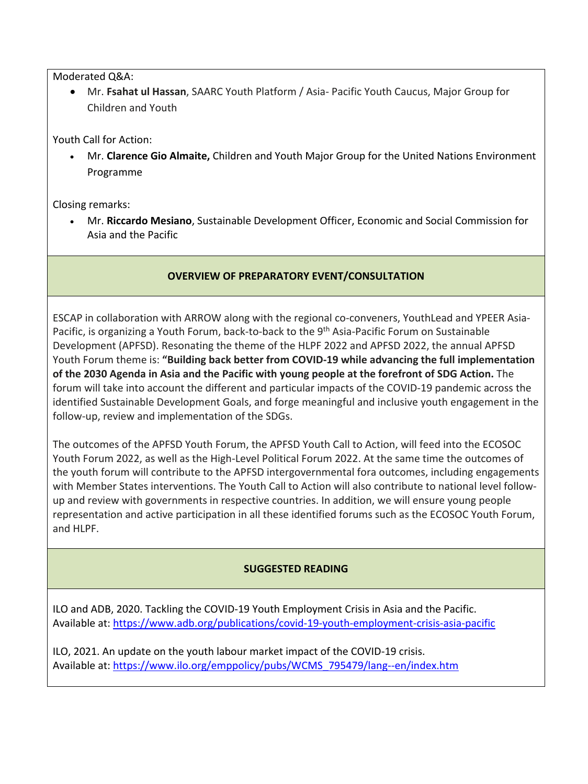Moderated Q&A:

• Mr. **Fsahat ul Hassan**, SAARC Youth Platform / Asia- Pacific Youth Caucus, Major Group for Children and Youth

Youth Call for Action:

• Mr. **Clarence Gio Almaite,** Children and Youth Major Group for the United Nations Environment Programme

Closing remarks:

• Mr. **Riccardo Mesiano**, Sustainable Development Officer, Economic and Social Commission for Asia and the Pacific

#### **OVERVIEW OF PREPARATORY EVENT/CONSULTATION**

ESCAP in collaboration with ARROW along with the regional co-conveners, YouthLead and YPEER Asia-Pacific, is organizing a Youth Forum, back-to-back to the 9<sup>th</sup> Asia-Pacific Forum on Sustainable Development (APFSD). Resonating the theme of the HLPF 2022 and APFSD 2022, the annual APFSD Youth Forum theme is: **"Building back better from COVID-19 while advancing the full implementation of the 2030 Agenda in Asia and the Pacific with young people at the forefront of SDG Action.** The forum will take into account the different and particular impacts of the COVID-19 pandemic across the identified Sustainable Development Goals, and forge meaningful and inclusive youth engagement in the follow-up, review and implementation of the SDGs.

The outcomes of the APFSD Youth Forum, the APFSD Youth Call to Action, will feed into the ECOSOC Youth Forum 2022, as well as the High-Level Political Forum 2022. At the same time the outcomes of the youth forum will contribute to the APFSD intergovernmental fora outcomes, including engagements with Member States interventions. The Youth Call to Action will also contribute to national level followup and review with governments in respective countries. In addition, we will ensure young people representation and active participation in all these identified forums such as the ECOSOC Youth Forum, and HLPF.

#### **SUGGESTED READING**

ILO and ADB, 2020. Tackling the COVID-19 Youth Employment Crisis in Asia and the Pacific. Available at:<https://www.adb.org/publications/covid-19-youth-employment-crisis-asia-pacific>

ILO, 2021. An update on the youth labour market impact of the COVID-19 crisis. Available at: [https://www.ilo.org/emppolicy/pubs/WCMS\\_795479/lang--en/index.htm](https://www.ilo.org/emppolicy/pubs/WCMS_795479/lang--en/index.htm)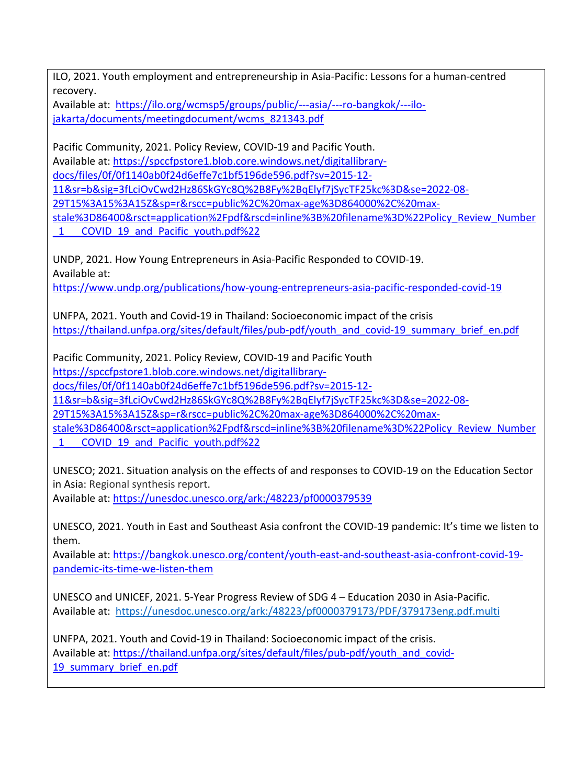ILO, 2021. Youth employment and entrepreneurship in Asia-Pacific: Lessons for a human-centred recovery.

Available at: [https://ilo.org/wcmsp5/groups/public/---asia/---ro-bangkok/---ilo](https://ilo.org/wcmsp5/groups/public/---asia/---ro-bangkok/---ilo-jakarta/documents/meetingdocument/wcms_821343.pdf)[jakarta/documents/meetingdocument/wcms\\_821343.pdf](https://ilo.org/wcmsp5/groups/public/---asia/---ro-bangkok/---ilo-jakarta/documents/meetingdocument/wcms_821343.pdf)

Pacific Community, 2021. Policy Review, COVID-19 and Pacific Youth. Available at: [https://spccfpstore1.blob.core.windows.net/digitallibrary](https://spccfpstore1.blob.core.windows.net/digitallibrary-docs/files/0f/0f1140ab0f24d6effe7c1bf5196de596.pdf?sv=2015-12-11&sr=b&sig=3fLciOvCwd2Hz86SkGYc8Q%2B8Fy%2BqElyf7jSycTF25kc%3D&se=2022-08-29T15%3A15%3A15Z&sp=r&rscc=public%2C%20max-age%3D864000%2C%20max-stale%3D86400&rsct=application%2Fpdf&rscd=inline%3B%20filename%3D%22Policy_Review_Number_1___COVID_19_and_Pacific_youth.pdf%22%20)[docs/files/0f/0f1140ab0f24d6effe7c1bf5196de596.pdf?sv=2015-12-](https://spccfpstore1.blob.core.windows.net/digitallibrary-docs/files/0f/0f1140ab0f24d6effe7c1bf5196de596.pdf?sv=2015-12-11&sr=b&sig=3fLciOvCwd2Hz86SkGYc8Q%2B8Fy%2BqElyf7jSycTF25kc%3D&se=2022-08-29T15%3A15%3A15Z&sp=r&rscc=public%2C%20max-age%3D864000%2C%20max-stale%3D86400&rsct=application%2Fpdf&rscd=inline%3B%20filename%3D%22Policy_Review_Number_1___COVID_19_and_Pacific_youth.pdf%22%20) [11&sr=b&sig=3fLciOvCwd2Hz86SkGYc8Q%2B8Fy%2BqElyf7jSycTF25kc%3D&se=2022-08-](https://spccfpstore1.blob.core.windows.net/digitallibrary-docs/files/0f/0f1140ab0f24d6effe7c1bf5196de596.pdf?sv=2015-12-11&sr=b&sig=3fLciOvCwd2Hz86SkGYc8Q%2B8Fy%2BqElyf7jSycTF25kc%3D&se=2022-08-29T15%3A15%3A15Z&sp=r&rscc=public%2C%20max-age%3D864000%2C%20max-stale%3D86400&rsct=application%2Fpdf&rscd=inline%3B%20filename%3D%22Policy_Review_Number_1___COVID_19_and_Pacific_youth.pdf%22%20) [29T15%3A15%3A15Z&sp=r&rscc=public%2C%20max-age%3D864000%2C%20max](https://spccfpstore1.blob.core.windows.net/digitallibrary-docs/files/0f/0f1140ab0f24d6effe7c1bf5196de596.pdf?sv=2015-12-11&sr=b&sig=3fLciOvCwd2Hz86SkGYc8Q%2B8Fy%2BqElyf7jSycTF25kc%3D&se=2022-08-29T15%3A15%3A15Z&sp=r&rscc=public%2C%20max-age%3D864000%2C%20max-stale%3D86400&rsct=application%2Fpdf&rscd=inline%3B%20filename%3D%22Policy_Review_Number_1___COVID_19_and_Pacific_youth.pdf%22%20)[stale%3D86400&rsct=application%2Fpdf&rscd=inline%3B%20filename%3D%22Policy\\_Review\\_Number](https://spccfpstore1.blob.core.windows.net/digitallibrary-docs/files/0f/0f1140ab0f24d6effe7c1bf5196de596.pdf?sv=2015-12-11&sr=b&sig=3fLciOvCwd2Hz86SkGYc8Q%2B8Fy%2BqElyf7jSycTF25kc%3D&se=2022-08-29T15%3A15%3A15Z&sp=r&rscc=public%2C%20max-age%3D864000%2C%20max-stale%3D86400&rsct=application%2Fpdf&rscd=inline%3B%20filename%3D%22Policy_Review_Number_1___COVID_19_and_Pacific_youth.pdf%22%20)

1 COVID 19 and Pacific youth.pdf%22

UNDP, 2021. How Young Entrepreneurs in Asia-Pacific Responded to COVID-19. Available at:

<https://www.undp.org/publications/how-young-entrepreneurs-asia-pacific-responded-covid-19>

UNFPA, 2021. Youth and Covid-19 in Thailand: Socioeconomic impact of the crisis [https://thailand.unfpa.org/sites/default/files/pub-pdf/youth\\_and\\_covid-19\\_summary\\_brief\\_en.pdf](https://thailand.unfpa.org/sites/default/files/pub-pdf/youth_and_covid-19_summary_brief_en.pdf)

Pacific Community, 2021. Policy Review, COVID-19 and Pacific Youth [https://spccfpstore1.blob.core.windows.net/digitallibrary-](https://spccfpstore1.blob.core.windows.net/digitallibrary-docs/files/0f/0f1140ab0f24d6effe7c1bf5196de596.pdf?sv=2015-12-11&sr=b&sig=3fLciOvCwd2Hz86SkGYc8Q%2B8Fy%2BqElyf7jSycTF25kc%3D&se=2022-08-29T15%3A15%3A15Z&sp=r&rscc=public%2C%20max-age%3D864000%2C%20max-stale%3D86400&rsct=application%2Fpdf&rscd=inline%3B%20filename%3D%22Policy_Review_Number_1___COVID_19_and_Pacific_youth.pdf%22%20)

[docs/files/0f/0f1140ab0f24d6effe7c1bf5196de596.pdf?sv=2015-12-](https://spccfpstore1.blob.core.windows.net/digitallibrary-docs/files/0f/0f1140ab0f24d6effe7c1bf5196de596.pdf?sv=2015-12-11&sr=b&sig=3fLciOvCwd2Hz86SkGYc8Q%2B8Fy%2BqElyf7jSycTF25kc%3D&se=2022-08-29T15%3A15%3A15Z&sp=r&rscc=public%2C%20max-age%3D864000%2C%20max-stale%3D86400&rsct=application%2Fpdf&rscd=inline%3B%20filename%3D%22Policy_Review_Number_1___COVID_19_and_Pacific_youth.pdf%22%20)

[11&sr=b&sig=3fLciOvCwd2Hz86SkGYc8Q%2B8Fy%2BqElyf7jSycTF25kc%3D&se=2022-08-](https://spccfpstore1.blob.core.windows.net/digitallibrary-docs/files/0f/0f1140ab0f24d6effe7c1bf5196de596.pdf?sv=2015-12-11&sr=b&sig=3fLciOvCwd2Hz86SkGYc8Q%2B8Fy%2BqElyf7jSycTF25kc%3D&se=2022-08-29T15%3A15%3A15Z&sp=r&rscc=public%2C%20max-age%3D864000%2C%20max-stale%3D86400&rsct=application%2Fpdf&rscd=inline%3B%20filename%3D%22Policy_Review_Number_1___COVID_19_and_Pacific_youth.pdf%22%20)

[29T15%3A15%3A15Z&sp=r&rscc=public%2C%20max-age%3D864000%2C%20max-](https://spccfpstore1.blob.core.windows.net/digitallibrary-docs/files/0f/0f1140ab0f24d6effe7c1bf5196de596.pdf?sv=2015-12-11&sr=b&sig=3fLciOvCwd2Hz86SkGYc8Q%2B8Fy%2BqElyf7jSycTF25kc%3D&se=2022-08-29T15%3A15%3A15Z&sp=r&rscc=public%2C%20max-age%3D864000%2C%20max-stale%3D86400&rsct=application%2Fpdf&rscd=inline%3B%20filename%3D%22Policy_Review_Number_1___COVID_19_and_Pacific_youth.pdf%22%20)

[stale%3D86400&rsct=application%2Fpdf&rscd=inline%3B%20filename%3D%22Policy\\_Review\\_Number](https://spccfpstore1.blob.core.windows.net/digitallibrary-docs/files/0f/0f1140ab0f24d6effe7c1bf5196de596.pdf?sv=2015-12-11&sr=b&sig=3fLciOvCwd2Hz86SkGYc8Q%2B8Fy%2BqElyf7jSycTF25kc%3D&se=2022-08-29T15%3A15%3A15Z&sp=r&rscc=public%2C%20max-age%3D864000%2C%20max-stale%3D86400&rsct=application%2Fpdf&rscd=inline%3B%20filename%3D%22Policy_Review_Number_1___COVID_19_and_Pacific_youth.pdf%22%20) 1 COVID 19 and Pacific youth.pdf%22

UNESCO; 2021. Situation analysis on the effects of and responses to COVID-19 on the Education Sector in Asia: Regional synthesis report.

Available at:<https://unesdoc.unesco.org/ark:/48223/pf0000379539>

UNESCO, 2021. Youth in East and Southeast Asia confront the COVID-19 pandemic: It's time we listen to them.

Available at: [https://bangkok.unesco.org/content/youth-east-and-southeast-asia-confront-covid-19](https://bangkok.unesco.org/content/youth-east-and-southeast-asia-confront-covid-19-pandemic-its-time-we-listen-them) [pandemic-its-time-we-listen-them](https://bangkok.unesco.org/content/youth-east-and-southeast-asia-confront-covid-19-pandemic-its-time-we-listen-them)

UNESCO and UNICEF, 2021. 5-Year Progress Review of SDG 4 – Education 2030 in Asia-Pacific. Available at: <https://unesdoc.unesco.org/ark:/48223/pf0000379173/PDF/379173eng.pdf.multi>

UNFPA, 2021. Youth and Covid-19 in Thailand: Socioeconomic impact of the crisis. Available at: [https://thailand.unfpa.org/sites/default/files/pub-pdf/youth\\_and\\_covid-](https://thailand.unfpa.org/sites/default/files/pub-pdf/youth_and_covid-19_summary_brief_en.pdf)19 summary brief en.pdf